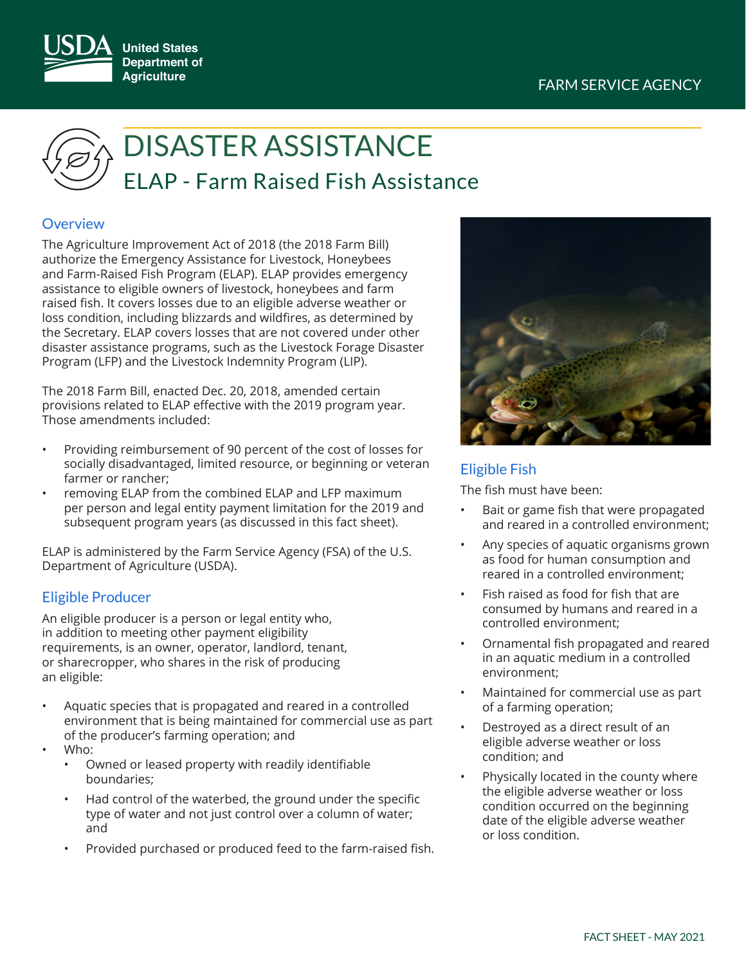## FARM SERVICE AGENCY



# ELAP - Farm Raised Fish Assistance DISASTER ASSISTANCE

## **Overview**

The Agriculture Improvement Act of 2018 (the 2018 Farm Bill) authorize the Emergency Assistance for Livestock, Honeybees and Farm-Raised Fish Program (ELAP). ELAP provides emergency assistance to eligible owners of livestock, honeybees and farm raised fish. It covers losses due to an eligible adverse weather or loss condition, including blizzards and wildfires, as determined by the Secretary. ELAP covers losses that are not covered under other disaster assistance programs, such as the Livestock Forage Disaster Program (LFP) and the Livestock Indemnity Program (LIP).

The 2018 Farm Bill, enacted Dec. 20, 2018, amended certain provisions related to ELAP effective with the 2019 program year. Those amendments included:

- Providing reimbursement of 90 percent of the cost of losses for socially disadvantaged, limited resource, or beginning or veteran farmer or rancher;
- removing ELAP from the combined ELAP and LFP maximum per person and legal entity payment limitation for the 2019 and subsequent program years (as discussed in this fact sheet).

ELAP is administered by the Farm Service Agency (FSA) of the U.S. Department of Agriculture (USDA).

## Eligible Producer

An eligible producer is a person or legal entity who, in addition to meeting other payment eligibility requirements, is an owner, operator, landlord, tenant, or sharecropper, who shares in the risk of producing an eligible:

- Aquatic species that is propagated and reared in a controlled environment that is being maintained for commercial use as part of the producer's farming operation; and
- Who:
	- Owned or leased property with readily identifiable boundaries;
	- Had control of the waterbed, the ground under the specific type of water and not just control over a column of water; and
	- Provided purchased or produced feed to the farm-raised fish.



## Eligible Fish

The fish must have been:

- Bait or game fish that were propagated and reared in a controlled environment;
- Any species of aquatic organisms grown as food for human consumption and reared in a controlled environment;
- Fish raised as food for fish that are consumed by humans and reared in a controlled environment;
- Ornamental fish propagated and reared in an aquatic medium in a controlled environment;
- Maintained for commercial use as part of a farming operation;
- Destroyed as a direct result of an eligible adverse weather or loss condition; and
- Physically located in the county where the eligible adverse weather or loss condition occurred on the beginning date of the eligible adverse weather or loss condition.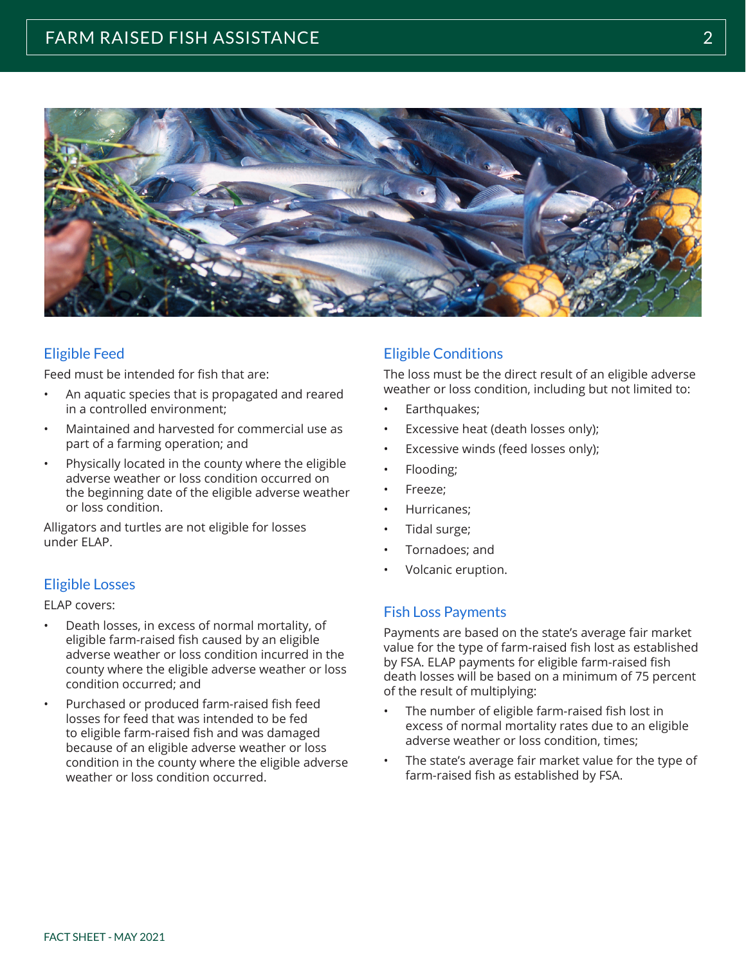

## Eligible Feed

Feed must be intended for fish that are:

- An aquatic species that is propagated and reared in a controlled environment;
- Maintained and harvested for commercial use as part of a farming operation; and
- Physically located in the county where the eligible adverse weather or loss condition occurred on the beginning date of the eligible adverse weather or loss condition.

Alligators and turtles are not eligible for losses under ELAP.

## Eligible Losses

#### ELAP covers:

- Death losses, in excess of normal mortality, of eligible farm-raised fish caused by an eligible adverse weather or loss condition incurred in the county where the eligible adverse weather or loss condition occurred; and
- Purchased or produced farm-raised fish feed losses for feed that was intended to be fed to eligible farm-raised fish and was damaged because of an eligible adverse weather or loss condition in the county where the eligible adverse weather or loss condition occurred.

## Eligible Conditions

The loss must be the direct result of an eligible adverse weather or loss condition, including but not limited to:

- Earthquakes;
- Excessive heat (death losses only);
- Excessive winds (feed losses only);
- Flooding;
- Freeze;
- Hurricanes;
- Tidal surge;
- Tornadoes; and
- Volcanic eruption.

## Fish Loss Payments

Payments are based on the state's average fair market value for the type of farm-raised fish lost as established by FSA. ELAP payments for eligible farm-raised fish death losses will be based on a minimum of 75 percent of the result of multiplying:

- The number of eligible farm-raised fish lost in excess of normal mortality rates due to an eligible adverse weather or loss condition, times;
- The state's average fair market value for the type of farm-raised fish as established by FSA.